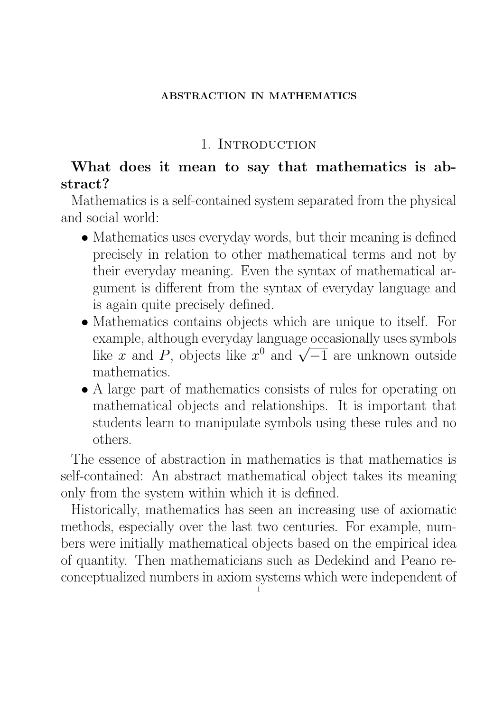#### ABSTRACTION IN MATHEMATICS

### 1. Introduction

### What does it mean to say that mathematics is abstract?

Mathematics is a self-contained system separated from the physical and social world:

- Mathematics uses everyday words, but their meaning is defined precisely in relation to other mathematical terms and not by their everyday meaning. Even the syntax of mathematical argument is different from the syntax of everyday language and is again quite precisely defined.
- Mathematics contains objects which are unique to itself. For example, although everyday language occasionally uses symbols example, although everyday language occasionally uses symbols<br>like x and P, objects like  $x^0$  and  $\sqrt{-1}$  are unknown outside mathematics.
- A large part of mathematics consists of rules for operating on mathematical objects and relationships. It is important that students learn to manipulate symbols using these rules and no others.

The essence of abstraction in mathematics is that mathematics is self-contained: An abstract mathematical object takes its meaning only from the system within which it is defined.

Historically, mathematics has seen an increasing use of axiomatic methods, especially over the last two centuries. For example, numbers were initially mathematical objects based on the empirical idea of quantity. Then mathematicians such as Dedekind and Peano reconceptualized numbers in axiom systems which were independent of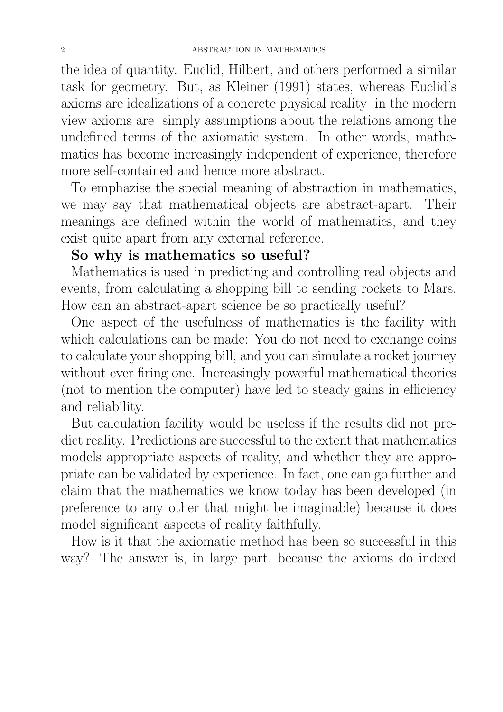the idea of quantity. Euclid, Hilbert, and others performed a similar task for geometry. But, as Kleiner (1991) states, whereas Euclid's axioms are idealizations of a concrete physical reality in the modern view axioms are simply assumptions about the relations among the undefined terms of the axiomatic system. In other words, mathematics has become increasingly independent of experience, therefore more self-contained and hence more abstract.

To emphazise the special meaning of abstraction in mathematics, we may say that mathematical objects are abstract-apart. Their meanings are defined within the world of mathematics, and they exist quite apart from any external reference.

### So why is mathematics so useful?

Mathematics is used in predicting and controlling real objects and events, from calculating a shopping bill to sending rockets to Mars. How can an abstract-apart science be so practically useful?

One aspect of the usefulness of mathematics is the facility with which calculations can be made: You do not need to exchange coins to calculate your shopping bill, and you can simulate a rocket journey without ever firing one. Increasingly powerful mathematical theories (not to mention the computer) have led to steady gains in efficiency and reliability.

But calculation facility would be useless if the results did not predict reality. Predictions are successful to the extent that mathematics models appropriate aspects of reality, and whether they are appropriate can be validated by experience. In fact, one can go further and claim that the mathematics we know today has been developed (in preference to any other that might be imaginable) because it does model significant aspects of reality faithfully.

How is it that the axiomatic method has been so successful in this way? The answer is, in large part, because the axioms do indeed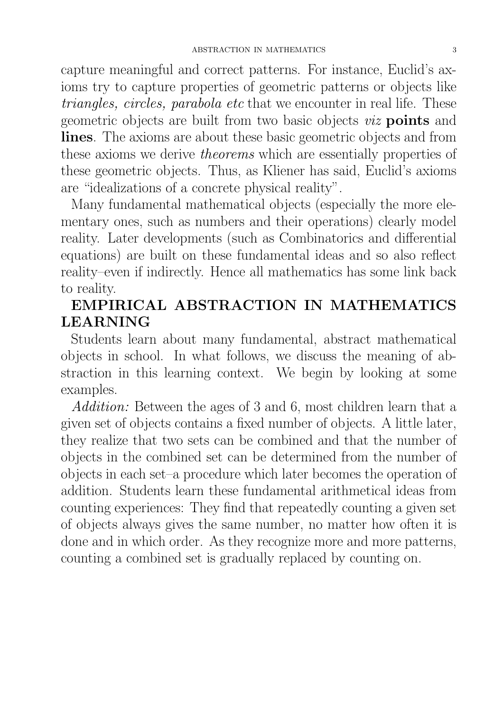capture meaningful and correct patterns. For instance, Euclid's axioms try to capture properties of geometric patterns or objects like triangles, circles, parabola etc that we encounter in real life. These geometric objects are built from two basic objects viz points and lines. The axioms are about these basic geometric objects and from these axioms we derive theorems which are essentially properties of these geometric objects. Thus, as Kliener has said, Euclid's axioms are "idealizations of a concrete physical reality".

Many fundamental mathematical objects (especially the more elementary ones, such as numbers and their operations) clearly model reality. Later developments (such as Combinatorics and differential equations) are built on these fundamental ideas and so also reflect reality–even if indirectly. Hence all mathematics has some link back to reality.

# EMPIRICAL ABSTRACTION IN MATHEMATICS LEARNING

Students learn about many fundamental, abstract mathematical objects in school. In what follows, we discuss the meaning of abstraction in this learning context. We begin by looking at some examples.

Addition: Between the ages of 3 and 6, most children learn that a given set of objects contains a fixed number of objects. A little later, they realize that two sets can be combined and that the number of objects in the combined set can be determined from the number of objects in each set–a procedure which later becomes the operation of addition. Students learn these fundamental arithmetical ideas from counting experiences: They find that repeatedly counting a given set of objects always gives the same number, no matter how often it is done and in which order. As they recognize more and more patterns, counting a combined set is gradually replaced by counting on.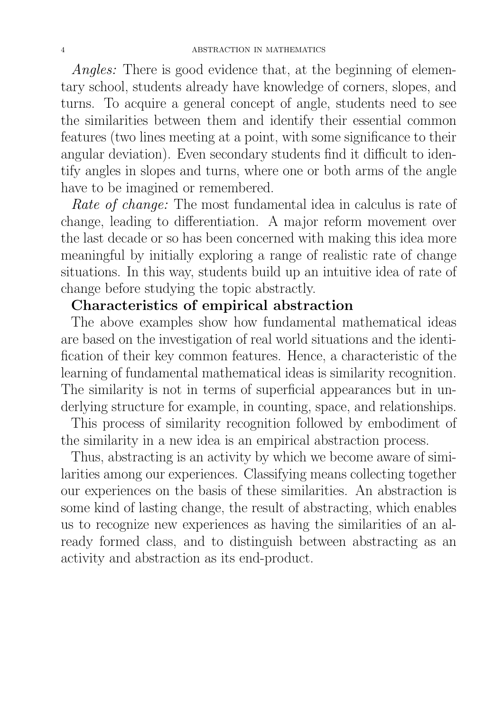Angles: There is good evidence that, at the beginning of elementary school, students already have knowledge of corners, slopes, and turns. To acquire a general concept of angle, students need to see the similarities between them and identify their essential common features (two lines meeting at a point, with some significance to their angular deviation). Even secondary students find it difficult to identify angles in slopes and turns, where one or both arms of the angle have to be imagined or remembered.

Rate of change: The most fundamental idea in calculus is rate of change, leading to differentiation. A major reform movement over the last decade or so has been concerned with making this idea more meaningful by initially exploring a range of realistic rate of change situations. In this way, students build up an intuitive idea of rate of change before studying the topic abstractly.

# Characteristics of empirical abstraction

The above examples show how fundamental mathematical ideas are based on the investigation of real world situations and the identification of their key common features. Hence, a characteristic of the learning of fundamental mathematical ideas is similarity recognition. The similarity is not in terms of superficial appearances but in underlying structure for example, in counting, space, and relationships.

This process of similarity recognition followed by embodiment of the similarity in a new idea is an empirical abstraction process.

Thus, abstracting is an activity by which we become aware of similarities among our experiences. Classifying means collecting together our experiences on the basis of these similarities. An abstraction is some kind of lasting change, the result of abstracting, which enables us to recognize new experiences as having the similarities of an already formed class, and to distinguish between abstracting as an activity and abstraction as its end-product.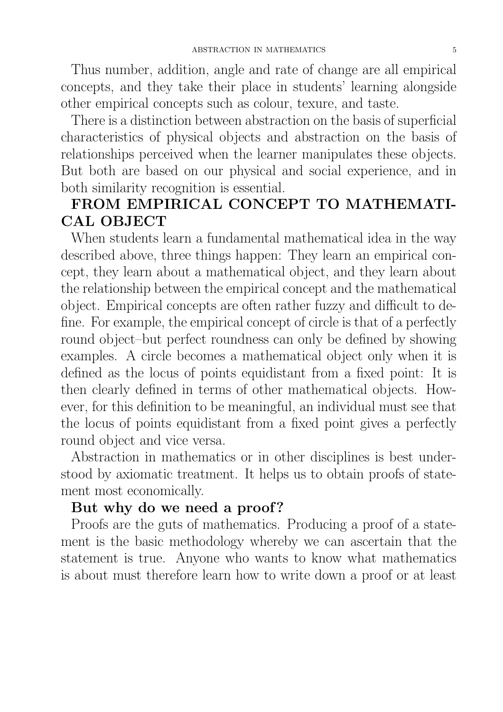Thus number, addition, angle and rate of change are all empirical concepts, and they take their place in students' learning alongside other empirical concepts such as colour, texure, and taste.

There is a distinction between abstraction on the basis of superficial characteristics of physical objects and abstraction on the basis of relationships perceived when the learner manipulates these objects. But both are based on our physical and social experience, and in both similarity recognition is essential.

# FROM EMPIRICAL CONCEPT TO MATHEMATI-CAL OBJECT

When students learn a fundamental mathematical idea in the way described above, three things happen: They learn an empirical concept, they learn about a mathematical object, and they learn about the relationship between the empirical concept and the mathematical object. Empirical concepts are often rather fuzzy and difficult to define. For example, the empirical concept of circle is that of a perfectly round object–but perfect roundness can only be defined by showing examples. A circle becomes a mathematical object only when it is defined as the locus of points equidistant from a fixed point: It is then clearly defined in terms of other mathematical objects. However, for this definition to be meaningful, an individual must see that the locus of points equidistant from a fixed point gives a perfectly round object and vice versa.

Abstraction in mathematics or in other disciplines is best understood by axiomatic treatment. It helps us to obtain proofs of statement most economically.

## But why do we need a proof?

Proofs are the guts of mathematics. Producing a proof of a statement is the basic methodology whereby we can ascertain that the statement is true. Anyone who wants to know what mathematics is about must therefore learn how to write down a proof or at least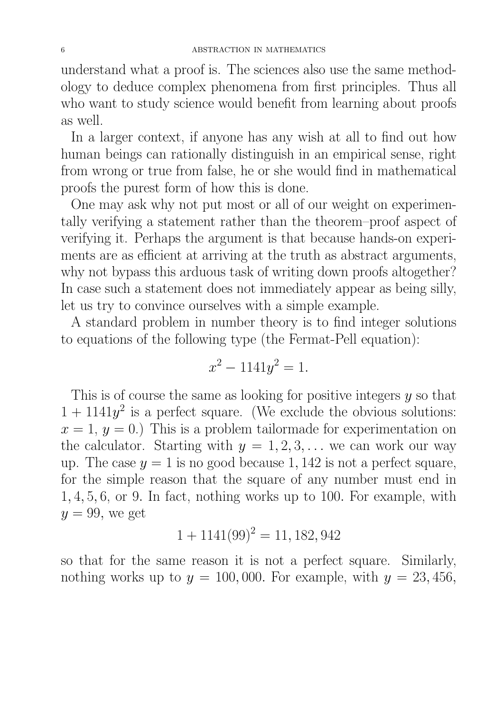understand what a proof is. The sciences also use the same methodology to deduce complex phenomena from first principles. Thus all who want to study science would benefit from learning about proofs as well.

In a larger context, if anyone has any wish at all to find out how human beings can rationally distinguish in an empirical sense, right from wrong or true from false, he or she would find in mathematical proofs the purest form of how this is done.

One may ask why not put most or all of our weight on experimentally verifying a statement rather than the theorem–proof aspect of verifying it. Perhaps the argument is that because hands-on experiments are as efficient at arriving at the truth as abstract arguments, why not bypass this arduous task of writing down proofs altogether? In case such a statement does not immediately appear as being silly, let us try to convince ourselves with a simple example.

A standard problem in number theory is to find integer solutions to equations of the following type (the Fermat-Pell equation):

$$
x^2 - 1141y^2 = 1.
$$

This is of course the same as looking for positive integers  $y$  so that  $1 + 1141y^2$  is a perfect square. (We exclude the obvious solutions:  $x = 1, y = 0.$ ) This is a problem tailormade for experimentation on the calculator. Starting with  $y = 1, 2, 3, \ldots$  we can work our way up. The case  $y = 1$  is no good because 1, 142 is not a perfect square, for the simple reason that the square of any number must end in 1, 4, 5, 6, or 9. In fact, nothing works up to 100. For example, with  $y = 99$ , we get

$$
1 + 1141(99)^2 = 11,182,942
$$

so that for the same reason it is not a perfect square. Similarly, nothing works up to  $y = 100,000$ . For example, with  $y = 23,456$ ,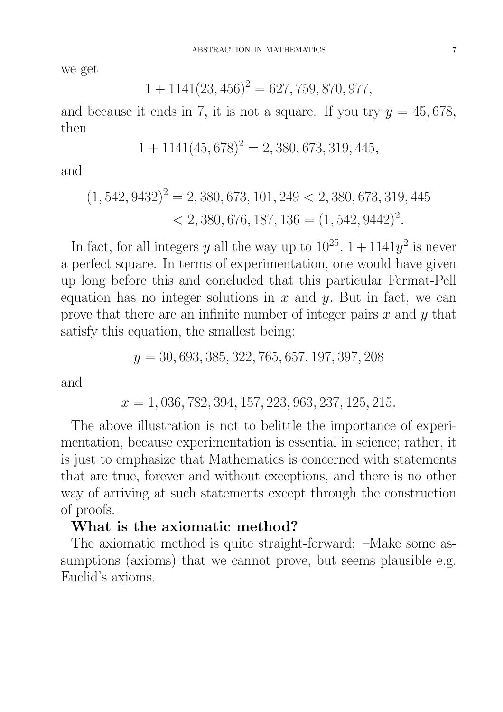we get

$$
1 + 1141(23, 456)^2 = 627, 759, 870, 977,
$$

and because it ends in 7, it is not a square. If you try  $y = 45,678$ , then

$$
1 + 1141(45,678)^2 = 2,380,673,319,445,
$$

and

$$
(1, 542, 9432)^2 = 2,380,673,101,249 < 2,380,673,319,445 < 2,380,676,187,136 = (1, 542,9442)^2.
$$

In fact, for all integers y all the way up to  $10^{25}$ ,  $1+1141y^2$  is never a perfect square. In terms of experimentation, one would have given up long before this and concluded that this particular Fermat-Pell equation has no integer solutions in  $x$  and  $y$ . But in fact, we can prove that there are an infinite number of integer pairs  $x$  and  $y$  that satisfy this equation, the smallest being:

$$
y = 30,693,385,322,765,657,197,397,208
$$

and

$$
x = 1,036,782,394,157,223,963,237,125,215.
$$

The above illustration is not to belittle the importance of experimentation, because experimentation is essential in science; rather, it is just to emphasize that Mathematics is concerned with statements that are true, forever and without exceptions, and there is no other way of arriving at such statements except through the construction of proofs.

### What is the axiomatic method?

The axiomatic method is quite straight-forward: –Make some assumptions (axioms) that we cannot prove, but seems plausible e.g. Euclid's axioms.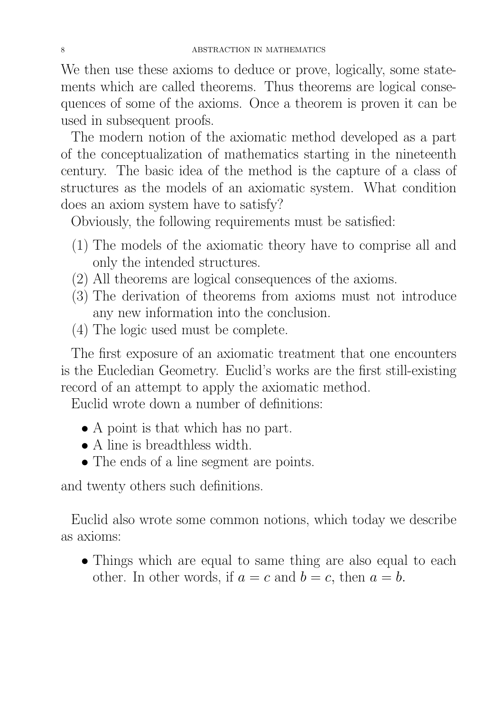We then use these axioms to deduce or prove, logically, some statements which are called theorems. Thus theorems are logical consequences of some of the axioms. Once a theorem is proven it can be used in subsequent proofs.

The modern notion of the axiomatic method developed as a part of the conceptualization of mathematics starting in the nineteenth century. The basic idea of the method is the capture of a class of structures as the models of an axiomatic system. What condition does an axiom system have to satisfy?

Obviously, the following requirements must be satisfied:

- (1) The models of the axiomatic theory have to comprise all and only the intended structures.
- (2) All theorems are logical consequences of the axioms.
- (3) The derivation of theorems from axioms must not introduce any new information into the conclusion.
- (4) The logic used must be complete.

The first exposure of an axiomatic treatment that one encounters is the Eucledian Geometry. Euclid's works are the first still-existing record of an attempt to apply the axiomatic method.

Euclid wrote down a number of definitions:

- A point is that which has no part.
- A line is breadthless width.
- The ends of a line segment are points.

and twenty others such definitions.

Euclid also wrote some common notions, which today we describe as axioms:

• Things which are equal to same thing are also equal to each other. In other words, if  $a = c$  and  $b = c$ , then  $a = b$ .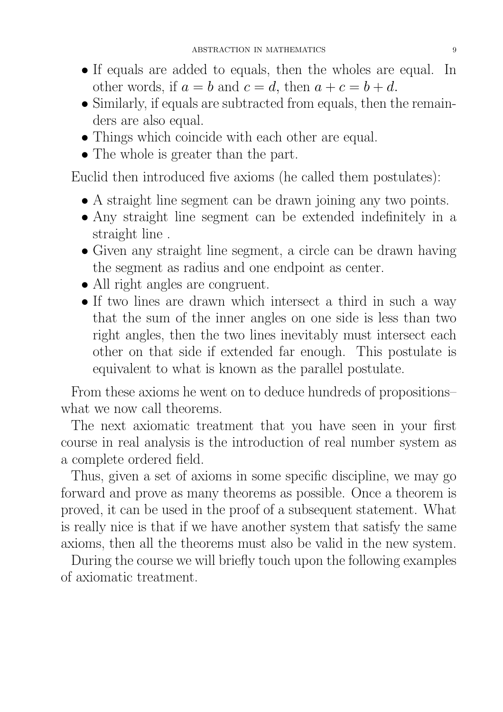- If equals are added to equals, then the wholes are equal. In other words, if  $a = b$  and  $c = d$ , then  $a + c = b + d$ .
- Similarly, if equals are subtracted from equals, then the remainders are also equal.
- Things which coincide with each other are equal.
- The whole is greater than the part.

Euclid then introduced five axioms (he called them postulates):

- A straight line segment can be drawn joining any two points.
- Any straight line segment can be extended indefinitely in a straight line .
- Given any straight line segment, a circle can be drawn having the segment as radius and one endpoint as center.
- All right angles are congruent.
- If two lines are drawn which intersect a third in such a way that the sum of the inner angles on one side is less than two right angles, then the two lines inevitably must intersect each other on that side if extended far enough. This postulate is equivalent to what is known as the parallel postulate.

From these axioms he went on to deduce hundreds of propositions– what we now call theorems.

The next axiomatic treatment that you have seen in your first course in real analysis is the introduction of real number system as a complete ordered field.

Thus, given a set of axioms in some specific discipline, we may go forward and prove as many theorems as possible. Once a theorem is proved, it can be used in the proof of a subsequent statement. What is really nice is that if we have another system that satisfy the same axioms, then all the theorems must also be valid in the new system.

During the course we will briefly touch upon the following examples of axiomatic treatment.